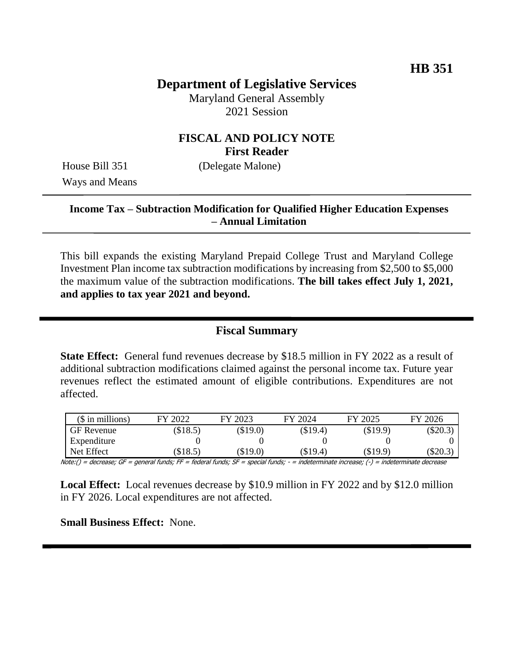# **Department of Legislative Services**

Maryland General Assembly 2021 Session

## **FISCAL AND POLICY NOTE First Reader**

Ways and Means

House Bill 351 (Delegate Malone)

## **Income Tax – Subtraction Modification for Qualified Higher Education Expenses – Annual Limitation**

This bill expands the existing Maryland Prepaid College Trust and Maryland College Investment Plan income tax subtraction modifications by increasing from \$2,500 to \$5,000 the maximum value of the subtraction modifications. **The bill takes effect July 1, 2021, and applies to tax year 2021 and beyond.** 

## **Fiscal Summary**

**State Effect:** General fund revenues decrease by \$18.5 million in FY 2022 as a result of additional subtraction modifications claimed against the personal income tax. Future year revenues reflect the estimated amount of eligible contributions. Expenditures are not affected.

| $($$ in millions) | FY 2022 | FY 2023  | FY 2024    | FY 2025  | FY 2026   |
|-------------------|---------|----------|------------|----------|-----------|
| <b>GF</b> Revenue | \$18.5) | \$19.0   | $(\$19.4)$ | (\$19.9) | $(\$20.3$ |
| Expenditure       |         |          |            |          |           |
| Net Effect        | \$18.5  | $\$19.0$ | (\$19.4)   | (\$19.9) | (\$20.3   |

Note:() = decrease; GF = general funds; FF = federal funds; SF = special funds; - = indeterminate increase; (-) = indeterminate decrease

**Local Effect:** Local revenues decrease by \$10.9 million in FY 2022 and by \$12.0 million in FY 2026. Local expenditures are not affected.

**Small Business Effect:** None.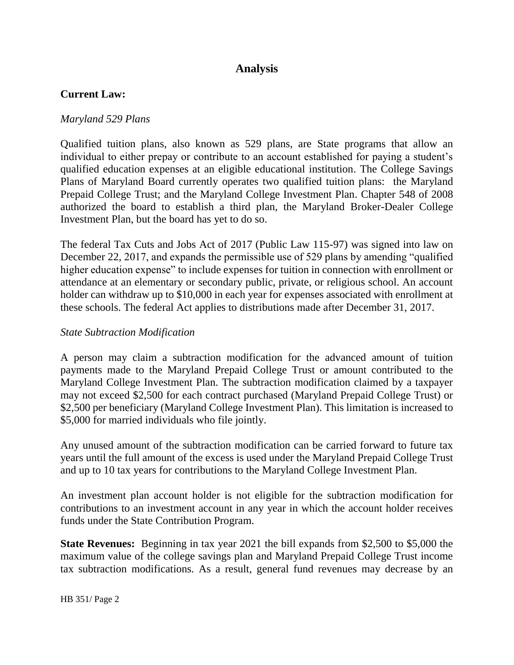# **Analysis**

## **Current Law:**

#### *Maryland 529 Plans*

Qualified tuition plans, also known as 529 plans, are State programs that allow an individual to either prepay or contribute to an account established for paying a student's qualified education expenses at an eligible educational institution. The College Savings Plans of Maryland Board currently operates two qualified tuition plans: the Maryland Prepaid College Trust; and the Maryland College Investment Plan. Chapter 548 of 2008 authorized the board to establish a third plan, the Maryland Broker-Dealer College Investment Plan, but the board has yet to do so.

The federal Tax Cuts and Jobs Act of 2017 (Public Law 115-97) was signed into law on December 22, 2017, and expands the permissible use of 529 plans by amending "qualified higher education expense" to include expenses for tuition in connection with enrollment or attendance at an elementary or secondary public, private, or religious school. An account holder can withdraw up to \$10,000 in each year for expenses associated with enrollment at these schools. The federal Act applies to distributions made after December 31, 2017.

#### *State Subtraction Modification*

A person may claim a subtraction modification for the advanced amount of tuition payments made to the Maryland Prepaid College Trust or amount contributed to the Maryland College Investment Plan. The subtraction modification claimed by a taxpayer may not exceed \$2,500 for each contract purchased (Maryland Prepaid College Trust) or \$2,500 per beneficiary (Maryland College Investment Plan). This limitation is increased to \$5,000 for married individuals who file jointly.

Any unused amount of the subtraction modification can be carried forward to future tax years until the full amount of the excess is used under the Maryland Prepaid College Trust and up to 10 tax years for contributions to the Maryland College Investment Plan.

An investment plan account holder is not eligible for the subtraction modification for contributions to an investment account in any year in which the account holder receives funds under the State Contribution Program.

**State Revenues:** Beginning in tax year 2021 the bill expands from \$2,500 to \$5,000 the maximum value of the college savings plan and Maryland Prepaid College Trust income tax subtraction modifications. As a result, general fund revenues may decrease by an